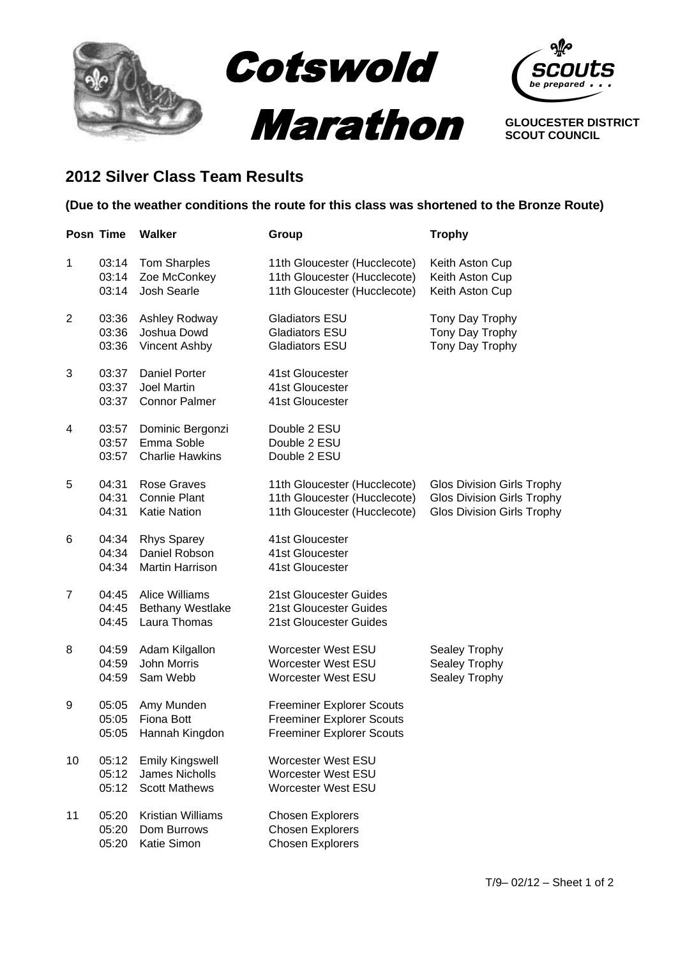

**GLOUCESTER DISTRICT SCOUT COUNCIL**

## **2012 Silver Class Team Results**

## **(Due to the weather conditions the route for this class was shortened to the Bronze Route)**

|                | Posn Time               | <b>Walker</b>                                                           | Group                                                                                                    | <b>Trophy</b>                                                                                               |
|----------------|-------------------------|-------------------------------------------------------------------------|----------------------------------------------------------------------------------------------------------|-------------------------------------------------------------------------------------------------------------|
| $\mathbf{1}$   | 03:14<br>03:14<br>03:14 | <b>Tom Sharples</b><br>Zoe McConkey<br>Josh Searle                      | 11th Gloucester (Hucclecote)<br>11th Gloucester (Hucclecote)<br>11th Gloucester (Hucclecote)             | Keith Aston Cup<br>Keith Aston Cup<br>Keith Aston Cup                                                       |
| $\overline{2}$ | 03:36<br>03:36<br>03:36 | Ashley Rodway<br>Joshua Dowd<br>Vincent Ashby                           | <b>Gladiators ESU</b><br><b>Gladiators ESU</b><br><b>Gladiators ESU</b>                                  | Tony Day Trophy<br>Tony Day Trophy<br>Tony Day Trophy                                                       |
| 3              | 03:37<br>03:37<br>03:37 | <b>Daniel Porter</b><br><b>Joel Martin</b><br><b>Connor Palmer</b>      | 41st Gloucester<br>41st Gloucester<br>41st Gloucester                                                    |                                                                                                             |
| 4              | 03:57<br>03:57<br>03:57 | Dominic Bergonzi<br>Emma Soble<br><b>Charlie Hawkins</b>                | Double 2 ESU<br>Double 2 ESU<br>Double 2 ESU                                                             |                                                                                                             |
| 5              | 04:31<br>04:31<br>04:31 | <b>Rose Graves</b><br><b>Connie Plant</b><br><b>Katie Nation</b>        | 11th Gloucester (Hucclecote)<br>11th Gloucester (Hucclecote)<br>11th Gloucester (Hucclecote)             | <b>Glos Division Girls Trophy</b><br><b>Glos Division Girls Trophy</b><br><b>Glos Division Girls Trophy</b> |
| 6              | 04:34<br>04:34<br>04:34 | <b>Rhys Sparey</b><br>Daniel Robson<br>Martin Harrison                  | 41st Gloucester<br>41st Gloucester<br>41st Gloucester                                                    |                                                                                                             |
| 7              | 04:45<br>04:45<br>04:45 | <b>Alice Williams</b><br>Bethany Westlake<br>Laura Thomas               | 21st Gloucester Guides<br>21st Gloucester Guides<br>21st Gloucester Guides                               |                                                                                                             |
| 8              | 04:59<br>04:59<br>04:59 | Adam Kilgallon<br>John Morris<br>Sam Webb                               | <b>Worcester West ESU</b><br><b>Worcester West ESU</b><br><b>Worcester West ESU</b>                      | Sealey Trophy<br>Sealey Trophy<br>Sealey Trophy                                                             |
| 9              | 05:05<br>05:05<br>05:05 | Amy Munden<br><b>Fiona Bott</b><br>Hannah Kingdon                       | <b>Freeminer Explorer Scouts</b><br><b>Freeminer Explorer Scouts</b><br><b>Freeminer Explorer Scouts</b> |                                                                                                             |
| 10             | 05:12<br>05:12<br>05:12 | <b>Emily Kingswell</b><br><b>James Nicholls</b><br><b>Scott Mathews</b> | <b>Worcester West ESU</b><br><b>Worcester West ESU</b><br><b>Worcester West ESU</b>                      |                                                                                                             |
| 11             | 05:20<br>05:20<br>05:20 | <b>Kristian Williams</b><br>Dom Burrows<br>Katie Simon                  | <b>Chosen Explorers</b><br><b>Chosen Explorers</b><br><b>Chosen Explorers</b>                            |                                                                                                             |